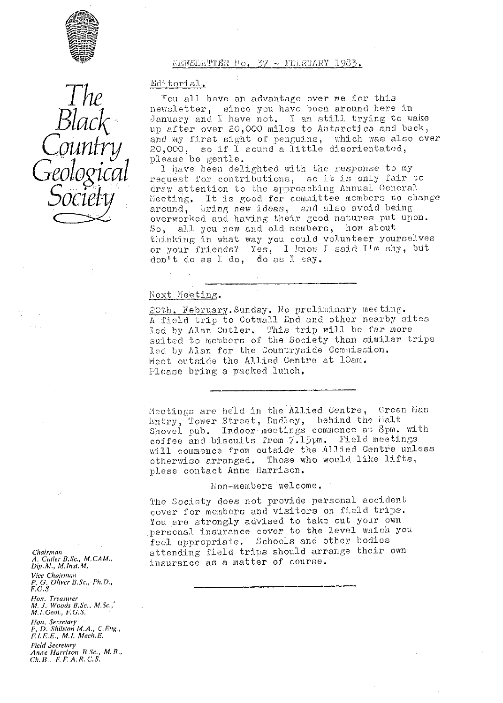

*The Black Country Geological Soci^*

10. 37 - FEERUARY 1983.

Hditorial.

You all have an advantage over me for this newsletter, since you have been around here in January and I have not. I am still trying to wake up after over 20,000 miles to Antarctica and back, and my first sight of penguins, which was also *over*  $20,000$ , so if I sound a little disorientated, Please be gentle.

I have been delighted with the response to my request for contributions, so it is only fair to draw attention to the approaching Annual General Moeting. It is good for committee members to change around, bring new ideas, and also avoid being overworked and having their good natures put upon. So, all you new and old members, how about thinking in what way you could volunteer yourselves or your friends? Yes, I know I said I'm shy, but don't do as J: do, do as I say.

#### Next Meeting.

20th. February. Sunday. No preliminary meeting. A field trip to Gotwal], End and other nearby sites led by Alan Cutler. This trip will be far more suited to members of the Society than similar trips led by Alan for the Countryside Commission. Meet outside the Allied Centre at loam. Please bring a packed lunch.

Mectings are held in the Allied Centre, Green Man Mectings are neid in the Allied Centre, Sites Shovel pub. Indoor meetings commence at 8pm. with coffee and biscuits from 7.15pm. Field meetings will commence from outside the Allied Centre unless otherwise arranged. Those who would like lifts, plese contact Anne Harrison.

# hon-members welcome.

The Society does not provide personal accident cover for members and visitors on field trips. You are strongly advised to take out your own personal insurance cover to the level which you feel appropriate. Schools and other bodies attending field trips should arrange their own insurance as a matter of course.

*Chair p wn A. Curler 13.Sc., M,CAM,, L)ip. M., M. Ins:. M.* Vice Chairman *P, G. Oliver* **13. Se.,** Ph. D., F.G.S. Hon, Treasurer<br>M. J. Woods B.Sc., M.Sc., M. !. Genf., **F.** G. S. Non. Secretary P. D. Shilston *MA,, C.Eng., F.1. E. G. , M.1. Mech. E.*

*Anne Harrison* E\_Sc., *M. B. Ch,B,, F, F, A. R, C. S,*

Field Secretary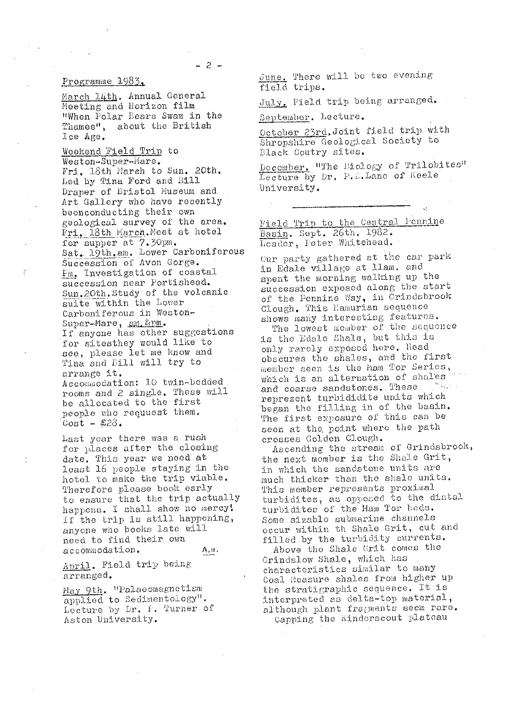#### Programme 1983.

March 14th, Annual General Meeting and Horizon film "When Polar Bears Swam in the Thames", about the British Lce Age.

Weekend Field Trip to Weston-Super-Mare. Fri, 18th March to Sun. 20th. Led by Tina Ford and Bill Draper of Bristol Museum and Art Gallery who have recently beenconducting their own geological survey of the area. Fri. 18th March. Meet at hotel for supper at 7.30pm. Sat. 19th.am. Lower Carboniferous Succession of Avon Gorge. Fm. Investigation of coastal succession near Portishead. Sun.20th.Study of the volcanic suite within the Lower Carboniferous in Weston-Super-Mare, am &pm. If anyone has other suggestions for sitesthey would like to see, please let me know and Tina and Bill will try to arrange it. Accommodation: 10 twin-bedded rooms and 2 single. These will be allocated to the first people who requuest them.  $Cost = £23.$ 

Last year there was a rush for places after the closing date. This year we need at least 16 people staying in the hotel to make the trip viable. Therefore please book early to ensure that the trip actually happens. I shall show no mercy! If the trip is still happening, anyone who books late will need to find their own accommodation. A, it.

April. Field trip being arranged.

May 9th. "Palaeomagnetism applied to Sedimentology". Lecture by Dr. F. Turner of Aston University.

June, There will be two evening field trips.

July. Field trip being arranged.

September. Lecture.

October 23rd. Joint field trip with Shropshire Geological Society to Black Coutry sites.

December, "The Eiclogy of Trilobites" Lecture by Dr. P. L. Lane of Keele University.

Field Trip to the Central Pennine Basin. Sept. 26th. 1982. Leader, Peter Whitehead.

Our party gathered at the car park in Edale village at llam. and spent the morning walking up the succession exposed along the start of the Pennine Way, in Grindsbrook Clough. This Hamarian sequence shows many interesting features.

The lowest member of the sequence is the Edale Shale, but this is only rarely exposed here. Head obscures the shales, and the first member seen is the Mam Tor Series, which is an alternation of shales and coarse sandstones. These in agus a represent turbididite units which began the filling in of the basin. The first exposure of this can be seen at the point where the path crosses Golden Clough.

Ascending the stream of Grindsbrook, the next member is the Shale Grit, in which the sandstone units are much thicker than the shale units. This member represents proximal turbidites, as opposed to the distal turbidites of the Mam Tor beds. Some sizable submarine channels occur within th Shale Grit, cut and filled by the turbidity currents.

Above the Shale Grit comes the Grindslow Shale, which has characteristics similar to many Coal Measure shales from higher up the stratigraphic sequence. It is interpreted as delta-top material, although plant fragments seem rare.

Capping the Kinderscout plateau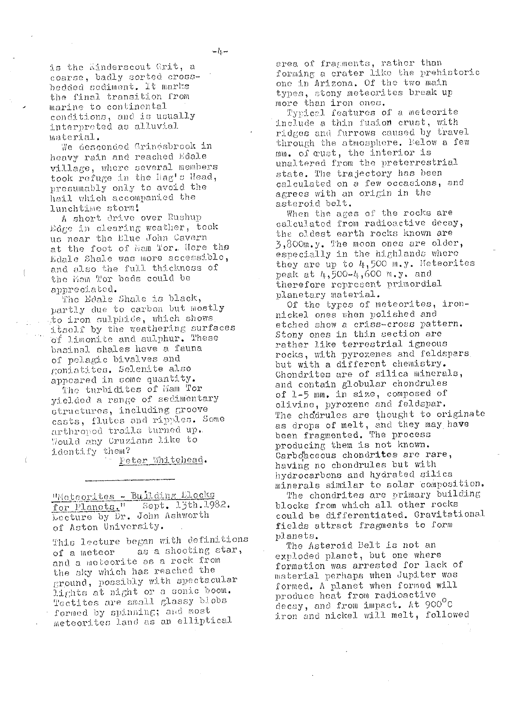is the Kinderscout Grit, a coarse, badly sorted crossbedded sediment. It marks the final transition from marine to continental conditions, and is usually interpreted as alluvial material.

We desconded Grindsbrook in heavy rain and reached Edale village, where several members took refuge in the liag's Head, presumably only to avoid the hail which accompanied the lunchtime storm!

A short drive over Rushup Edge in clearing weather, took us near the Elue John Cavern at the foot of Man Tor. Here the Edale Shale was more accessible, and also the full thickness of the Mam Tor beds could be appreciated.

f

The Edale Shale is black, partly due to carbon but mostly to iron sulphide, which shows itself by the weathering surfaces<br>of limonite and sulphur. These basinal shales have a fauna of pelagic bivalves and goniatites. Selenite also appoared in some quantity.

The turbidites of Mam Tor yielded a range of sedimentary structures, including groove casts, flutes and ripples. Some arthropod trails turned up. Would any Cruzians like to identify them?

Peter Whitehead.

"Moteorites - Building Elecks for Planots." Sept. 13th.1982. Lecture by Dr. John Ashworth of Aston University.

This lecture began with definitions as a shooting star, of a meteor and a meteorite as a rock from the sky which has reached the ground, possibly with spectacular lights at night or a sonic boom. Tectites are small glassy blobs formed by spinning; and most meteorites land as an elliptical

area of fragments, rather than forming a crater like the prehistoric one in Arizona. Of the two main types, stony meteorites break up more than iron ones.

Typical features of a meteorite include a thin fusion crust, with ridges and furrows caused by travel through the atmosphere. Eelow a few mm. of cust, the interior is unaltered from the preterrestrial state. The trajectory has been calculated on a few occasions, and agrees with an origin in the asteroid belt.

When the ages of the rocks are calculated from radioactive decay, the oldest earth rocks known are  $3,800$ m.y. The moon ones are older, especially in the highlands where they are up to  $4,500$  m.y. Meteorites peak at 4,500-4,600 m.y. and therefore represent primordial planetary material.

Of the types of meteorites, ironnickel ones when polished and etched show a criss-cross pattern. Stony ones in thin section are rather like terrestrial igneous rocks, with pyroxenes and feldspars. but with a different chemistry. Chondrites are of silica minerals, and contain globular chondrules of 1-5 mm. in size, composed of olivine, pyroxene and feldspar. The chodrules are thought to originate as drops of melt, and they may have<br>been fragmented. The process producing them is not known. Carboaceous chondrites are rare, having no chondrules but with hydrocarbons and hydrated silica minerals similar to solar composition.

The chondrites are primary building blocks from which all other rocks could be differentiated. Gravitational fields attract fragments to form planets.

The Asteroid Belt is not an exploded planet, but one where formation was arrested for lack of material perhaps when Jupiter was formed. A planet when formed will produce heat from radioactive decay, and from impact. At 900°C iron and nickel will melt, followed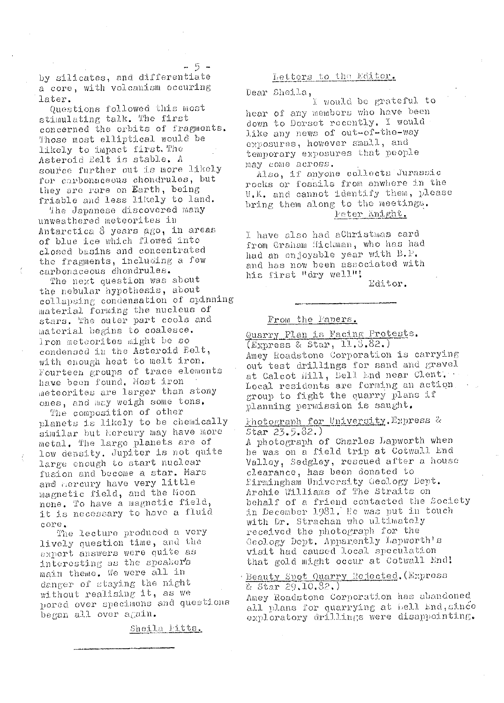by silicates, and differentiate a core, with volcanism occuring later.

- 5 -

Questions followed this most stimulating talk. The first concerned the orbits of fragments. Those most elliptical would be likely to impact first. The Asteroid Eelt is stable. A source further out is more likely for carbonaceous chondrules, but they are rare on Earth, being friable and less likely to land.

The Japanese discovered many unweathered meteorites in Antarctica 8 years ago, in areas of blue ice which flowed into closed basins and concentrated the fragments, including a few carbonaceous chondrules.

The next question was about the nebular hypothesis, about collapsing condensation of spinning material forming the nucleus of stars. The outer part cools and material begins to coalesce. Iron meteorites might be so condensed in the Asteroid Belt, with enough heat to melt iron. Fourteen groups of trace elements have been found. Most iron meteorites are larger than stony ones, and may weigh some tons.

The composition of other planets is likely to be chemically similar but Hercury may have more metal. The large planets are of low density. Jupiter is not quite large enough to start nuclear fusion and become a star. Mars and hercury have very little magnetic field, and the Moon none. To have a magnetic field, it is necessary to have a fluid  $core.$ 

The lecture produced a very lively question time, and the export answers were quite as interesting as the speaker's main theme. We were all in danger of staying the night without realising it, as we pored over specimens and questions began all over again.

Sheila Fitts.

# Letters to the Editor.

Dear Sheila,

I would be grateful to hear of any members who have been down to Dorset recently. I would like any news of out-of-the-way exposures, however small, and temporary exposures that people may come across.

Also, if anyone collects Jurassic rocks or fossils from anwhere in the U.K. and cannot identify them, please bring them along to the meetings. Peter Knight.

I have also had aChristmas card from Graham Hickman, who has had had an enjoyable year with B.P. and has now been associated with his first "dry well"!

Editor.

#### From the Faners.

Quarry Plan is Facing Protests.  $(E_{\text{XPI} \text{ess}} 8 8 \text{star}, 11.8.82.)$ Amey Roadstone Corporation is carrying out test drillings for sand and gravel at Calcot Hill, Bell End near Clent. Local residents are forming an action. group to fight the quarry plans if planning permission is saught.

Photograph for University. Express &  $Star 23.5.82.)$ 

A photograph of Charles Lapworth when he was on a field trip at Cotwall End Valley, Sedgley, rescued after a house clearance, has been donated to Eirmingham University Geology Dept. Archie Williams of The Straits on behalf of a friend contacted the Society in December 1981, He was put in touch with Dr. Strachan who ultimately received the photograph for the Geology Dept. Apparently Lapworth's visit had caused local speculation that gold might occur at Cotwall End!

#### · Beauty Spot Quarry Rejected. (Express & Star 29.10.82.)

Amey Roadstone Corporation has abandoned all plans for quarrying at bell End, since exploratory drillings were disappointing.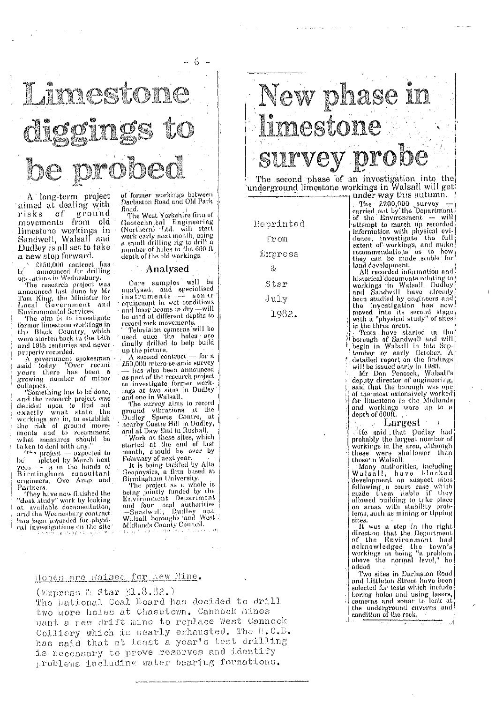

A long-term project aimed at dealing with risks of ground movements from old limostone workings in<br>Sandwell, Walsall and Dudley is all set to take a new step forward.

A £150,000 contract has

Liou,000 contract has<br>b(manumed for drilling<br>optitions in Wednesbury.<br>The research project was<br>announced last June by Mr<br>Tom King, the Minister for<br>Local Government and<br>Local Government and Environmental Services.

The aim is to investigate former limestone workings in the Black Country, which<br>were started back in the 18th<br>and 19th centuries and never properly recorded.

A government spokesman<br>said today: "Over recent<br>years there has been a growing number of minor

collapses.<br>"Something has to be done," and the research project was<br>decided upon to find out what state the exactly workings are in, to establish the risk of ground move-<br>ments and to recommend<br>what measures should be Laken to deal with any."

pleted by March next hri yeas - is in the hands of<br>Birmingham consultant<br>engineers, Ove Arup and Partners.

They have now finished the<br>"desk study" work by looking<br>at available documentation,<br>and the Wednesbury contract has been awarded for physical investigations on the site ไทยที่จะใช้สูงกับ อย่อ

of former workings between Darlaston Road and Old Park Roud.

The West Yorkshire firm of Geotechnical Engineering<br>(Northern) Ltd. will start eror energy next month, using<br>a small drilling rig to drill a<br>number of holes to the 660 ft<br>depth of the old workings.

#### - Analysed

Core samples will be analysed, and specialised equipment in wet conditions<br>and laser beams in dry —will<br>be used at different depths to record rock movements.

Television cameras will be<br>used once the holes are<br>finally drilled to help build<br>finally drilled to help build up the picture.

A second contract - for a £50,000 micro-seismic survey -has also been announced as part of the research project to investigate former work-

to investigate former workings at two sites in Dudley<br>and one in Walsall.<br>The survey aims to record<br>ground vibrations at the<br>Dudley Sports Centre, at<br>nearby Castle Hill in Dudley,<br>and the Castle Hill in Dudley. and at Daw End in Rushall.

Work at these sites, which<br>started at the end of last<br>month, should be over by

February of next year.<br>
It is being tackled by Alta<br>
Geophysics, a firm based at<br>
Birmingham University.

Birmingham University.<br>The project as a whole is<br>being jointly funded by the<br>Environment Department<br>and four local authorities<br>—Sandwell, Dudley and<br>Walsall horoughs and West<br>Midlands County Council Midlands County Council.

# New phase in limestone vey probe

The second phase of an investigation into the underground limestone workings in Walsall will get under way this autumn.

Reprinted from Express  $\mathcal{Q}$ Star July

The  $£200,000$  survey<br>carried out by the Department<br>of the Environment — will attempt to match up recorded ation with physical evi-<br>dance, investigate the full<br>extent of workings, and make<br>recommendations as to how they can be made stable for<br>land development.<br>All recorded information and

An recorded information and<br>historical documents rolating to<br>workings in Walsall, Dudley<br>and Sandwell have already<br>been studied by engineers and<br>the investigation has now<br>moved into its second stage<br>with a "physical study" in the three areas.

Tests have started in the borough of Sandwell and will<br>begin in Walsall in late Septamber or early October. A detailed report on the findings<br>will be issued early in 1983.<br>Mr. Don Poacock, Walsall's deputy director of engineering,<br>said that the borough was one of the most extensively worked for limestone in the Midlands and workings wore up to a

Largest

He said that Dudley had<br>probably the largest number of workings in the area, although<br>these were shallower than those'in Walsall.

 $\mathbf{1}$ 

Many authorities, including<br>Walsall, have blocked<br>development on suspect sites following a court case which<br>made them liable if they<br>allowed building to take place<br>on aroas with stability prob-<br>lems, such as mining or tipping

sties, act as mining or suppose<br>its.<br>It was a step in the right<br>direction that the Department<br>of the Environment had<br>acknowledged the town's<br>workings as being "a problem<br>above the normal level," he added.

Two sites in Darlaston Road and Littleton Street have been and choice of the which include<br>boring boles and using lasers,<br>cameras and sonar to look at<br>the underground cuverns, and<br>condition of the rock.

# Hopes are Raised for Kew Mine.

(Express & Star 31.8.82.)

The hational Coal Board has decided to drill two more holes at Chasetown. Cannock Eines want a new drift mine to replace West Cannock Colliery which is nearly exhausted. The H.C.B. has said that at least a year's test drilling is necessary to prove reserves and identify problems including water bearing formations.

1982.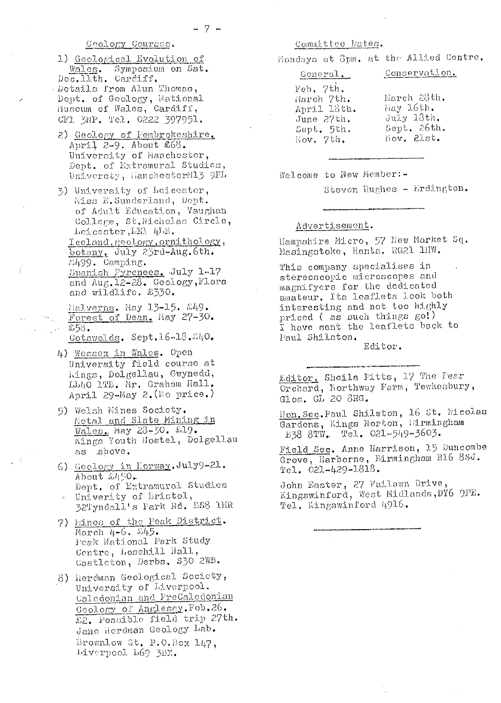# Geology Courses.

- 1) Geological Evolution of Wales. Symposium on Sat.<br>Dec.llth. Cardiff. Details from Alun Thomas, Dept. of Geology, National<br>Muscum of Wales, Cardiff, CF1 3NP. Tel. 0222 397951.
- 2) Geology of Pembrokeshire. April 2-9. About  $668.$ University of Manchester, Dept. of Extramural Studies, Universty, HanchesterN13 9PL
- 3) University of Leicester, Miss E. Sunderland, Dept. of Adult Education, Vaughan College, St. Micholas Circle, Leicester, LEI 4LB. Teeland, reolory, ornithology, botany. July 23rd-Aug.6th.  $\mathcal{L}499$ . Camping. Epanish Fyrenees. July 1-17 and  $\text{Aug.12-28.}$  Geology, Flora and wildlife. £330.
	- $\frac{1}{2}$ (alverns, May 13-15,  $\frac{249}{2}$ Forest of Dean. May 27-30. £58.

Cotswolds. Sept.16-18.240.

- 4) Wessex in Wales. Open University field course at Kings, Dolgellau, Gwynedd, LL40 1TB. Mr. Graham Hall. April 29-May 2. (No price.)
- 5) Welsh Mines Society. Metal and Slate Mining in Wales. May 28-30. £19. Kings Youth Hostel, Dolgellau as above.
- 6) Geology in Rorway. July9-21.  $\Lambda$ bout  $\mathcal{L}\rightarrow\mathcal{L}$ Dept. of Extramural Studies » Univerity of Lristol, 32Tyndall's Fark Rd. DSS 1HR
- 7) Mines of the Peak District. March  $4-6$ .  $\omega$ 45.
- Peak National Park Study Centre, Losehill Hall, Castleton, Derbs. \$30 2WB.
- 8) Herdman Geological Society, University of Liverpool. Calcdonian and PreCaledonian Geology of Anglescy. Feb. 26. £2. Possible field trip 27th. Jane Herdman Geology Lab. Brownlow St. P.O.Box 147, Liverpool L69 3BX.

# Committee Dates.

Mondays at Spm. at the Allied Centre.

| General                                                            | Conservation.                                           |
|--------------------------------------------------------------------|---------------------------------------------------------|
| Feb. 7th.<br>Harch 7th.<br>April 18th.<br>June 27th.<br>Sept. 5th. | March 28th.<br>May 16th.<br>$Ju1y$ 18th.<br>Sept. 26th. |
| Hov. 7th.                                                          | liov. Plst.                                             |

Welcome to New Member:-

Steven Hughes - Erdington.

#### Advertisement.

Hampshire Micro, 57 New Market Sq. Basingstoke, Hants. RG21 1HW.

This company specialises in stereoscopic microscopes and magnifyers for the dedicated amateur. Its leaflets look both interesting and not too highly priced (as such things go!) I have sent the leaflets back to Paul Shilston.

Editor.

Editor, Sheila Pitts, 17 The Fear Orchard, Northway Farm, Tewkesbury, Glos. GL 20 8RG.

Hon. Sec. Paul Shilston, 16 St. Nicolas Gardens, Kings Norton, Birmingham B38 8TW. Tel. 021-549-3603.

Field Sec. Anne Harrison, 15 Duncombe Grove, Harborne, Birmingham B16 8SJ. Tel. 021-429-1818.

John Easter, 27 Failawn Drive, Kingswinford, West Midlands, DY6 9PE. Tel. Kingswinford 4916.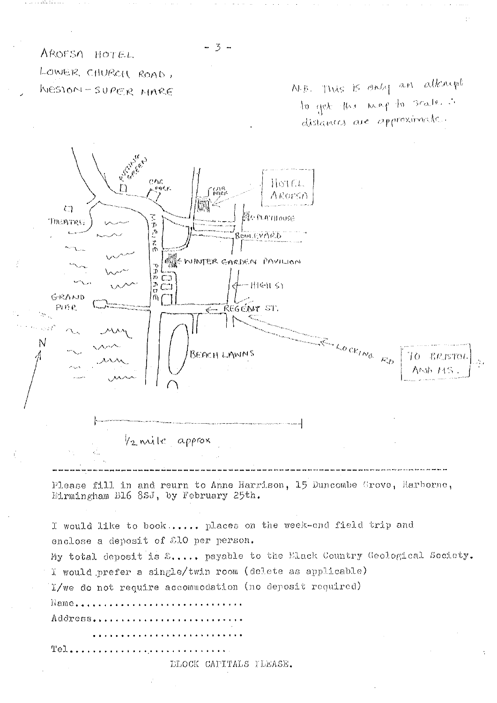AROFSO HOTEL LOWER CHURCH ROAD, WESTON-SUPER MARE

N.B. This is only an atknow to get this map to scalence distances are approximate.



Tel...

DLOCK CAPITALS TLEASE.

 $3 -$